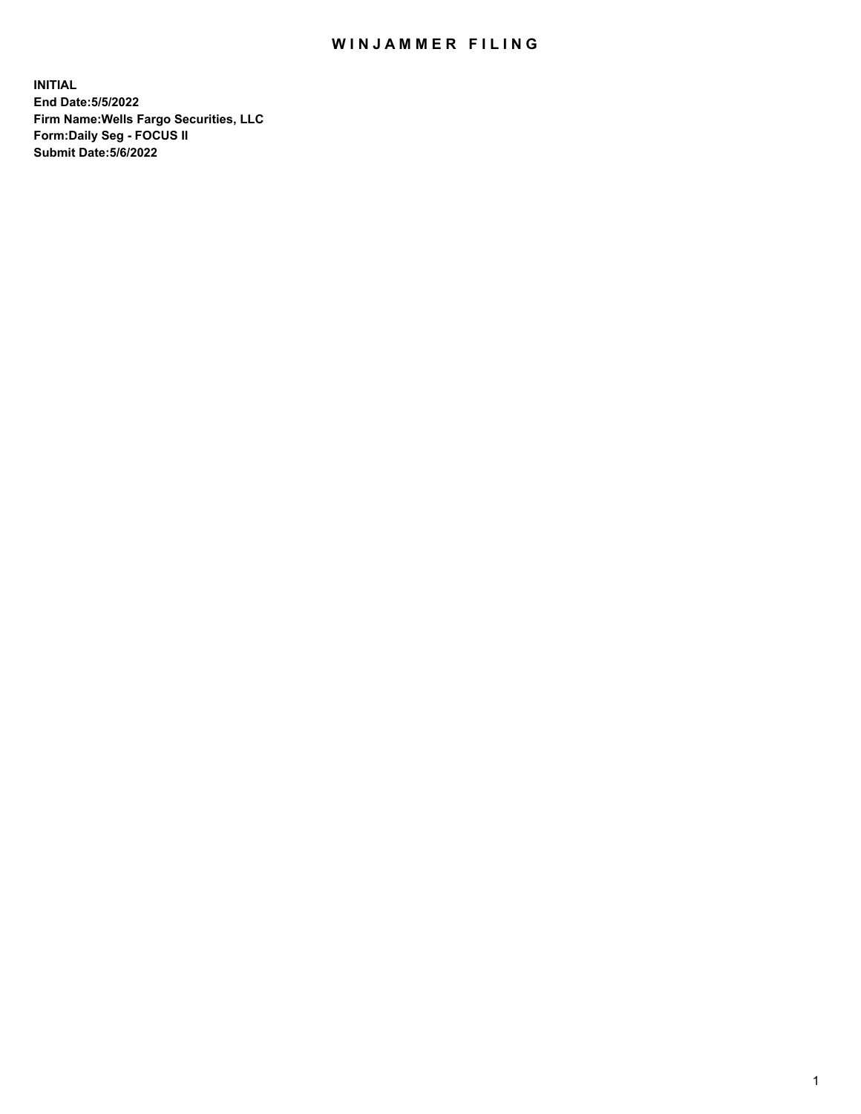## WIN JAMMER FILING

**INITIAL End Date:5/5/2022 Firm Name:Wells Fargo Securities, LLC Form:Daily Seg - FOCUS II Submit Date:5/6/2022**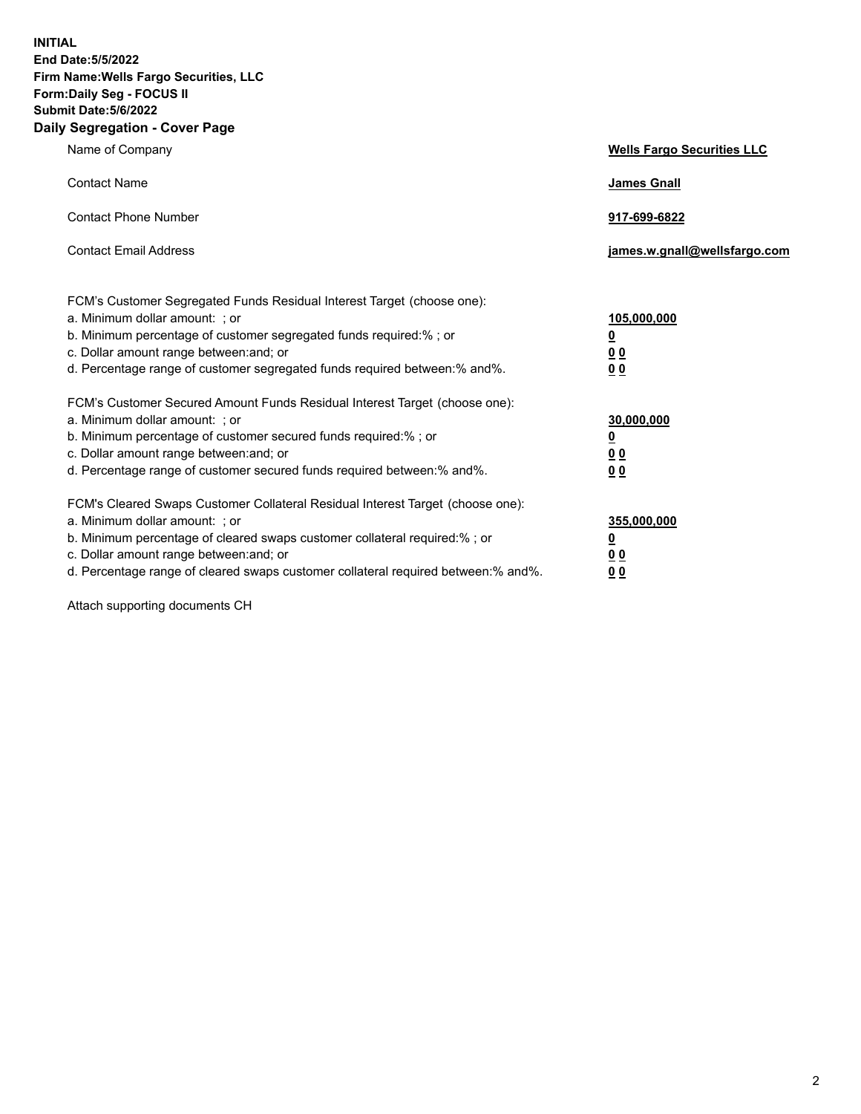**INITIAL End Date:5/5/2022 Firm Name:Wells Fargo Securities, LLC Form:Daily Seg - FOCUS II Submit Date:5/6/2022 Daily Segregation - Cover Page**

| Name of Company                                                                                                                                                                                                                                                                                                               | <b>Wells Fargo Securities LLC</b>                          |
|-------------------------------------------------------------------------------------------------------------------------------------------------------------------------------------------------------------------------------------------------------------------------------------------------------------------------------|------------------------------------------------------------|
| <b>Contact Name</b>                                                                                                                                                                                                                                                                                                           | <b>James Gnall</b>                                         |
| <b>Contact Phone Number</b>                                                                                                                                                                                                                                                                                                   | 917-699-6822                                               |
| <b>Contact Email Address</b>                                                                                                                                                                                                                                                                                                  | james.w.gnall@wellsfargo.com                               |
| FCM's Customer Segregated Funds Residual Interest Target (choose one):<br>a. Minimum dollar amount: ; or<br>b. Minimum percentage of customer segregated funds required:% ; or<br>c. Dollar amount range between: and; or<br>d. Percentage range of customer segregated funds required between:% and%.                        | 105,000,000<br><u>0</u><br>0 <sub>0</sub><br>00            |
| FCM's Customer Secured Amount Funds Residual Interest Target (choose one):<br>a. Minimum dollar amount: ; or<br>b. Minimum percentage of customer secured funds required:%; or<br>c. Dollar amount range between: and; or<br>d. Percentage range of customer secured funds required between: % and %.                         | 30,000,000<br><u>0</u><br>0 <sub>0</sub><br>0 <sub>0</sub> |
| FCM's Cleared Swaps Customer Collateral Residual Interest Target (choose one):<br>a. Minimum dollar amount: ; or<br>b. Minimum percentage of cleared swaps customer collateral required:%; or<br>c. Dollar amount range between: and; or<br>d. Percentage range of cleared swaps customer collateral required between:% and%. | 355,000,000<br><u>0</u><br>00<br>00                        |

Attach supporting documents CH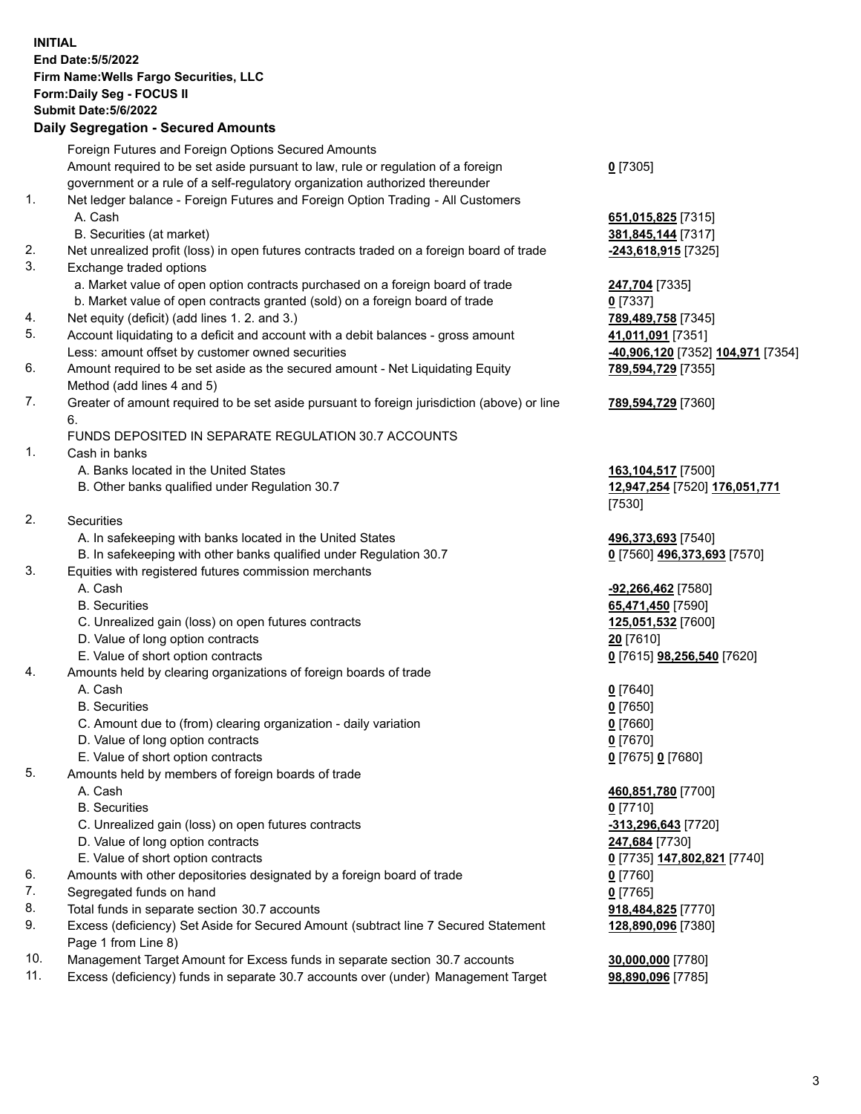**INITIAL End Date:5/5/2022 Firm Name:Wells Fargo Securities, LLC Form:Daily Seg - FOCUS II Submit Date:5/6/2022 Daily Segregation - Secured Amounts** Foreign Futures and Foreign Options Secured Amounts

Amount required to be set aside pursuant to law, rule or regulation of a foreign government or a rule of a self-regulatory organization authorized thereunder **0** [7305] 1. Net ledger balance - Foreign Futures and Foreign Option Trading - All Customers A. Cash **651,015,825** [7315] B. Securities (at market) **381,845,144** [7317] 2. Net unrealized profit (loss) in open futures contracts traded on a foreign board of trade **-243,618,915** [7325] 3. Exchange traded options a. Market value of open option contracts purchased on a foreign board of trade **247,704** [7335] b. Market value of open contracts granted (sold) on a foreign board of trade **0** [7337] 4. Net equity (deficit) (add lines 1. 2. and 3.) **789,489,758** [7345] 5. Account liquidating to a deficit and account with a debit balances - gross amount **41,011,091** [7351] Less: amount offset by customer owned securities **-40,906,120** [7352] **104,971** [7354] 6. Amount required to be set aside as the secured amount - Net Liquidating Equity Method (add lines 4 and 5) 7. Greater of amount required to be set aside pursuant to foreign jurisdiction (above) or line 6. FUNDS DEPOSITED IN SEPARATE REGULATION 30.7 ACCOUNTS 1. Cash in banks A. Banks located in the United States **163,104,517** [7500] B. Other banks qualified under Regulation 30.7 **12,947,254** [7520] **176,051,771** [7530] 2. Securities A. In safekeeping with banks located in the United States **496,373,693** [7540] B. In safekeeping with other banks qualified under Regulation 30.7 **0** [7560] **496,373,693** [7570] 3. Equities with registered futures commission merchants A. Cash **-92,266,462** [7580] B. Securities **65,471,450** [7590] C. Unrealized gain (loss) on open futures contracts **125,051,532** [7600] D. Value of long option contracts **20** [7610] E. Value of short option contracts **0** [7615] **98,256,540** [7620] 4. Amounts held by clearing organizations of foreign boards of trade A. Cash **0** [7640] B. Securities **0** [7650] C. Amount due to (from) clearing organization - daily variation **0** [7660] D. Value of long option contracts **0** [7670] E. Value of short option contracts **0** [7675] **0** [7680] 5. Amounts held by members of foreign boards of trade A. Cash **460,851,780** [7700] B. Securities **0** [7710] C. Unrealized gain (loss) on open futures contracts **-313,296,643** [7720] D. Value of long option contracts **247,684** [7730] E. Value of short option contracts **0** [7735] **147,802,821** [7740] 6. Amounts with other depositories designated by a foreign board of trade **0** [7760] 7. Segregated funds on hand **0** [7765] 8. Total funds in separate section 30.7 accounts **918,484,825** [7770] 9. Excess (deficiency) Set Aside for Secured Amount (subtract line 7 Secured Statement Page 1 from Line 8) 10. Management Target Amount for Excess funds in separate section 30.7 accounts **30,000,000** [7780]

- 
- 11. Excess (deficiency) funds in separate 30.7 accounts over (under) Management Target **98,890,096** [7785]

**789,594,729** [7355]

## **789,594,729** [7360]

**128,890,096** [7380]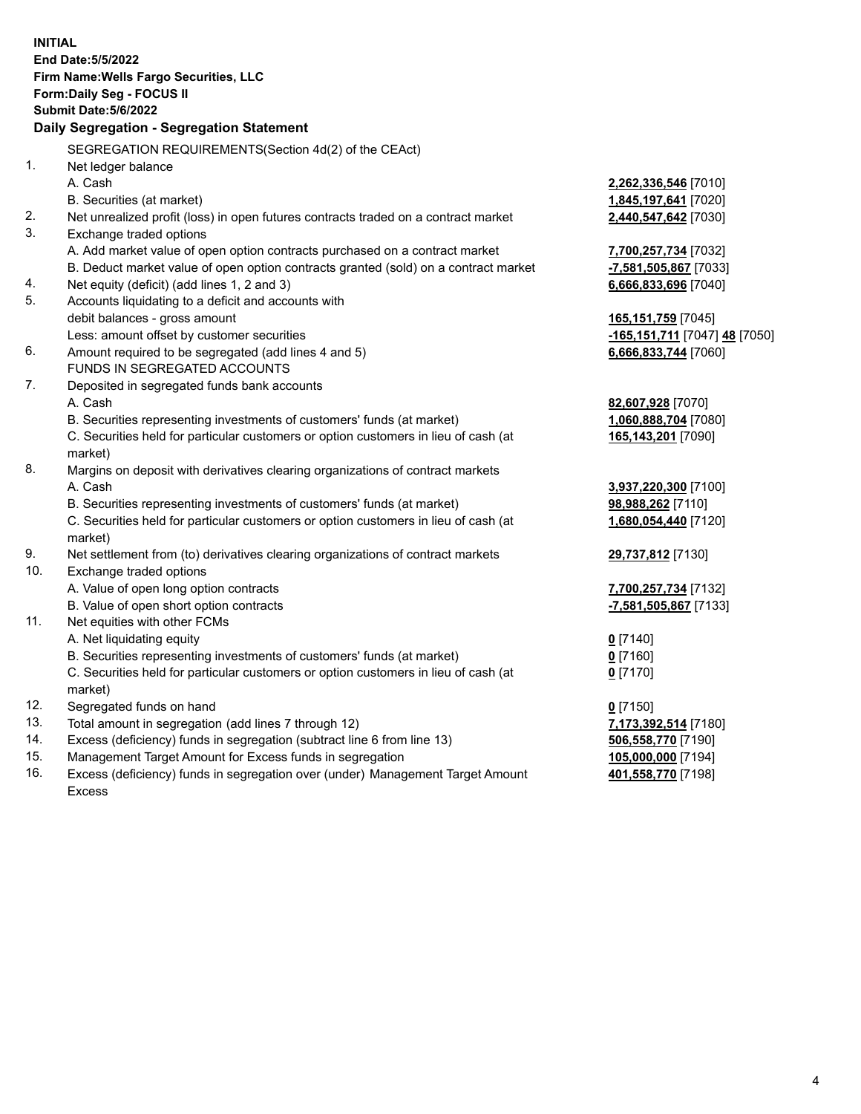| <b>INITIAL</b> | <b>End Date:5/5/2022</b><br>Firm Name: Wells Fargo Securities, LLC<br>Form: Daily Seg - FOCUS II<br><b>Submit Date: 5/6/2022</b><br>Daily Segregation - Segregation Statement                                                                                                    |                                                                       |
|----------------|----------------------------------------------------------------------------------------------------------------------------------------------------------------------------------------------------------------------------------------------------------------------------------|-----------------------------------------------------------------------|
|                | SEGREGATION REQUIREMENTS(Section 4d(2) of the CEAct)                                                                                                                                                                                                                             |                                                                       |
| 1.             | Net ledger balance<br>A. Cash<br>B. Securities (at market)                                                                                                                                                                                                                       | 2,262,336,546 [7010]<br>1,845,197,641 [7020]                          |
| 2.<br>3.       | Net unrealized profit (loss) in open futures contracts traded on a contract market                                                                                                                                                                                               | 2,440,547,642 [7030]                                                  |
| 4.             | Exchange traded options<br>A. Add market value of open option contracts purchased on a contract market<br>B. Deduct market value of open option contracts granted (sold) on a contract market<br>Net equity (deficit) (add lines 1, 2 and 3)                                     | 7,700,257,734 [7032]<br>-7,581,505,867 [7033]<br>6,666,833,696 [7040] |
| 5.             | Accounts liquidating to a deficit and accounts with<br>debit balances - gross amount<br>Less: amount offset by customer securities                                                                                                                                               | 165,151,759 [7045]<br>-165,151,711 [7047] 48 [7050]                   |
| 6.             | Amount required to be segregated (add lines 4 and 5)<br>FUNDS IN SEGREGATED ACCOUNTS                                                                                                                                                                                             | 6,666,833,744 [7060]                                                  |
| 7.             | Deposited in segregated funds bank accounts<br>A. Cash<br>B. Securities representing investments of customers' funds (at market)<br>C. Securities held for particular customers or option customers in lieu of cash (at<br>market)                                               | 82,607,928 [7070]<br>1,060,888,704 [7080]<br>165,143,201 [7090]       |
| 8.             | Margins on deposit with derivatives clearing organizations of contract markets<br>A. Cash<br>B. Securities representing investments of customers' funds (at market)<br>C. Securities held for particular customers or option customers in lieu of cash (at                       | 3,937,220,300 [7100]<br>98,988,262 [7110]<br>1,680,054,440 [7120]     |
| 9.             | market)<br>Net settlement from (to) derivatives clearing organizations of contract markets                                                                                                                                                                                       |                                                                       |
| 10.            | Exchange traded options<br>A. Value of open long option contracts                                                                                                                                                                                                                | 29,737,812 [7130]<br>7,700,257,734 [7132]                             |
| 11.            | B. Value of open short option contracts<br>Net equities with other FCMs<br>A. Net liquidating equity<br>B. Securities representing investments of customers' funds (at market)<br>C. Securities held for particular customers or option customers in lieu of cash (at<br>market) | -7,581,505,867 [7133]<br>$0$ [7140]<br>$0$ [7160]<br>$0$ [7170]       |
| 12.            | Segregated funds on hand                                                                                                                                                                                                                                                         | $0$ [7150]                                                            |
| 13.            | Total amount in segregation (add lines 7 through 12)                                                                                                                                                                                                                             | 7,173,392,514 [7180]                                                  |
| 14.            | Excess (deficiency) funds in segregation (subtract line 6 from line 13)                                                                                                                                                                                                          | 506,558,770 [7190]                                                    |
| 15.            | Management Target Amount for Excess funds in segregation                                                                                                                                                                                                                         | 105,000,000 [7194]                                                    |
| 16.            | Excess (deficiency) funds in segregation over (under) Management Target Amount<br><b>Excess</b>                                                                                                                                                                                  | 401,558,770 [7198]                                                    |